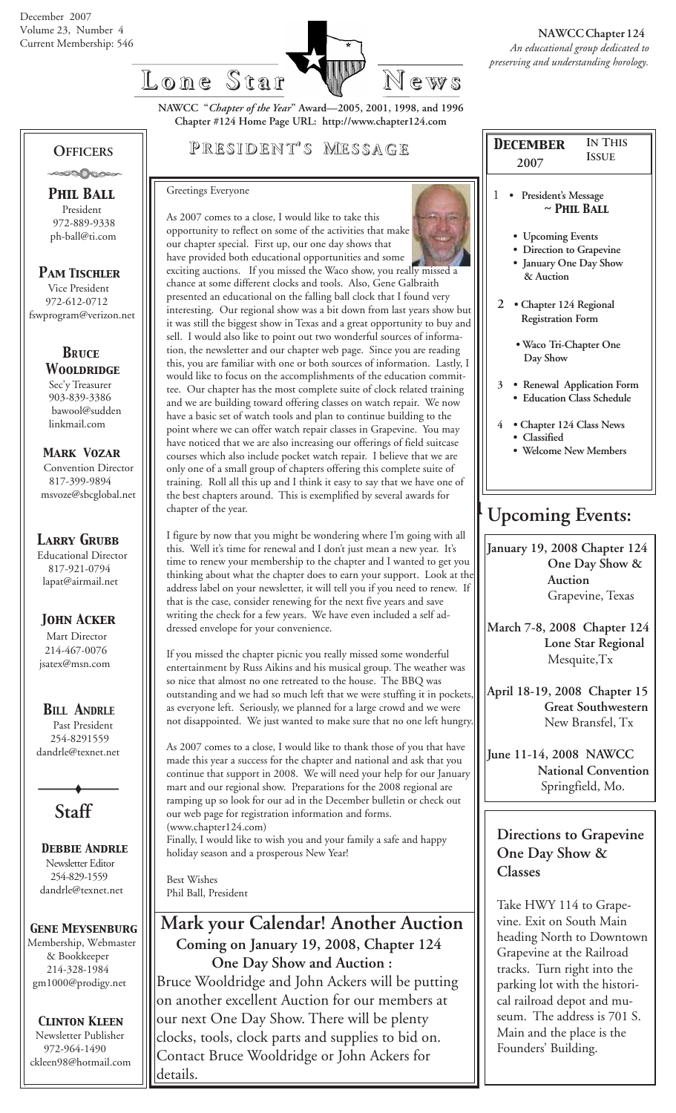

**NAWCC "***Chapter of the Year***" Award—2005, 2001, 1998, and 1996 Chapter #124 Home Page URL: http://www.chapter124.com**

## **OFFICERS** -∞∞∆∧∞∞

 *Phil Ball* President 972-889-9338 ph-ball@ti.com

 *Pam Tischler* Vice President 972-612-0712 fswprogram@verizon.net

> *BRuce Wooldridge* Sec'y Treasurer 903-839-3386 bawool@sudden linkmail.com

 *Mark Vozar* Convention Director 817-399-9894 msvoze@sbcglobal.net

## *Larry Grubb*

Educational Director 817-921-0794 lapat@airmail.net

## *John Acker*

Mart Director 214-467-0076 jsatex@msn.com

## *BILL ANDRLE*

 Past President 254-8291559 dandrle@texnet.net

**Staff**

 *Debbie Andrle* Newsletter Editor 254-829-1559 dandrle@texnet.net

### *Gene Meysenburg* Membership, Webmaster

 & Bookkeeper 214-328-1984 gm1000@prodigy.net

 *Clinton Kleen* Newsletter Publisher 972-964-1490 ckleen98@hotmail.com

## **P RESIDENT RESIDENT' S M ESSAGE**

### Greetings Everyone

As 2007 comes to a close, I would like to take this opportunity to reflect on some of the activities that make our chapter special. First up, our one day shows that have provided both educational opportunities and some exciting auctions. If you missed the Waco show, you really missed a chance at some different clocks and tools. Also, Gene Galbraith presented an educational on the falling ball clock that I found very interesting. Our regional show was a bit down from last years show but it was still the biggest show in Texas and a great opportunity to buy and sell. I would also like to point out two wonderful sources of information, the newsletter and our chapter web page. Since you are reading this, you are familiar with one or both sources of information. Lastly, I would like to focus on the accomplishments of the education committee. Our chapter has the most complete suite of clock related training and we are building toward offering classes on watch repair. We now have a basic set of watch tools and plan to continue building to the point where we can offer watch repair classes in Grapevine. You may have noticed that we are also increasing our offerings of field suitcase courses which also include pocket watch repair. I believe that we are only one of a small group of chapters offering this complete suite of training. Roll all this up and I think it easy to say that we have one of the best chapters around. This is exemplified by several awards for chapter of the year.

I figure by now that you might be wondering where I'm going with all this. Well it's time for renewal and I don't just mean a new year. It's time to renew your membership to the chapter and I wanted to get you thinking about what the chapter does to earn your support. Look at the address label on your newsletter, it will tell you if you need to renew. If that is the case, consider renewing for the next five years and save writing the check for a few years. We have even included a self addressed envelope for your convenience.

If you missed the chapter picnic you really missed some wonderful entertainment by Russ Aikins and his musical group. The weather was so nice that almost no one retreated to the house. The BBQ was outstanding and we had so much left that we were stuffing it in pockets, as everyone left. Seriously, we planned for a large crowd and we were not disappointed. We just wanted to make sure that no one left hungry.

As 2007 comes to a close, I would like to thank those of you that have made this year a success for the chapter and national and ask that you continue that support in 2008. We will need your help for our January mart and our regional show. Preparations for the 2008 regional are ramping up so look for our ad in the December bulletin or check out our web page for registration information and forms. (www.chapter124.com) Finally, I would like to wish you and your family a safe and happy holiday season and a prosperous New Year!

Best Wishes Phil Ball, President

## **Mark your Calendar! Another Auction Coming on January 19, 2008, Chapter 124 One Day Show and Auction :**

Bruce Wooldridge and John Ackers will be putting on another excellent Auction for our members at our next One Day Show. There will be plenty clocks, tools, clock parts and supplies to bid on. Contact Bruce Wooldridge or John Ackers for details.

|                                                      | <b>IN THIS</b><br><b>DECEMBER</b><br><b>ISSUE</b>                                    |  |  |  |  |  |  |
|------------------------------------------------------|--------------------------------------------------------------------------------------|--|--|--|--|--|--|
|                                                      | 2007                                                                                 |  |  |  |  |  |  |
|                                                      | 1<br>President's Message<br>$\sim$ PHIL BALL                                         |  |  |  |  |  |  |
|                                                      | • Upcoming Events<br>• Direction to Grapevine<br>• January One Day Show<br>& Auction |  |  |  |  |  |  |
| 2 • Chapter 124 Regional<br><b>Registration Form</b> |                                                                                      |  |  |  |  |  |  |
|                                                      | · Waco Tri-Chapter One<br>Day Show                                                   |  |  |  |  |  |  |
|                                                      | 3 <sup>1</sup><br>• Renewal Application Form<br>• Education Class Schedule           |  |  |  |  |  |  |
|                                                      | 4 • Chapter 124 Class News<br>Classified                                             |  |  |  |  |  |  |
|                                                      | • Welcome New Members                                                                |  |  |  |  |  |  |
|                                                      | <b>Upcoming Events:</b>                                                              |  |  |  |  |  |  |
|                                                      | January 19, 2008 Chapter 124<br>One Day Show &                                       |  |  |  |  |  |  |

 **Auction** Grapevine, Texas

**March 7-8, 2008 Chapter 124 Lone Star Regional** Mesquite,Tx

- **April 18-19, 2008 Chapter 15 Great Southwestern** New Bransfel, Tx
- **June 11-14, 2008 NAWCC National Convention** Springfield, Mo.

## **Directions to Grapevine One Day Show & Classes**

Take HWY 114 to Grapevine. Exit on South Main heading North to Downtown Grapevine at the Railroad tracks. Turn right into the parking lot with the historical railroad depot and museum. The address is 701 S. Main and the place is the Founders' Building.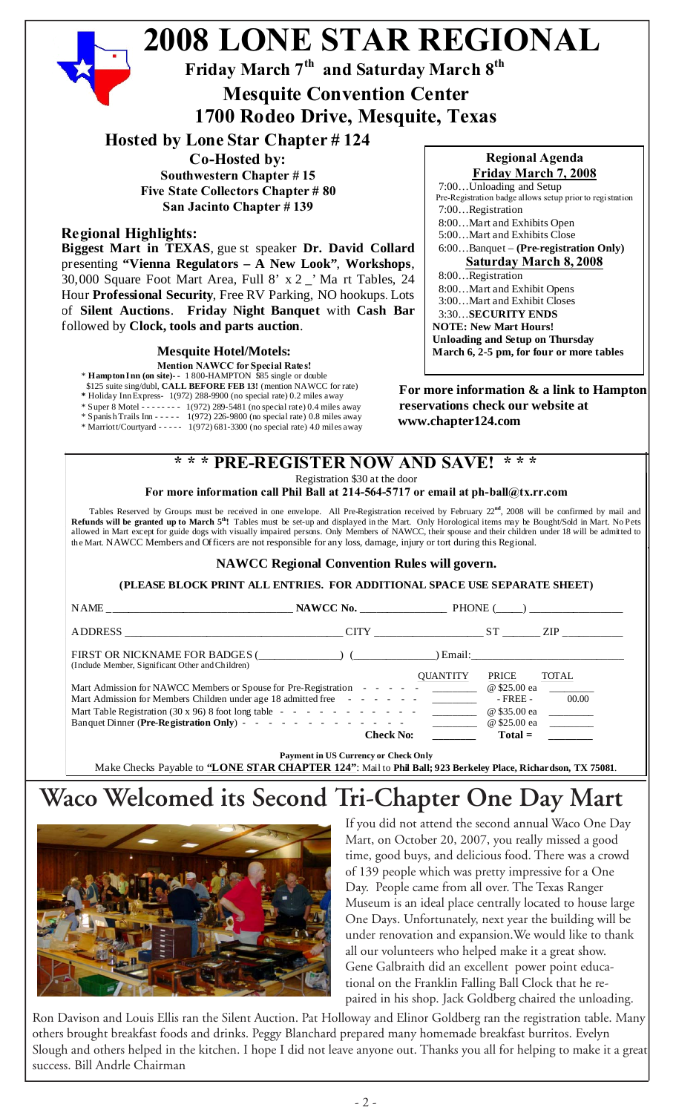### **2008 LONE STAR REGIONAL Friday March 7th and Saturday March 8th For more information & a link to Hampton reservations check our website at** nn - - - - - 1(972) 226-9800 (no special rate) 0.8 miles away<br>rard - - - - - 1(972) 681-3300 (no special rate) 4.0 miles away **www.chapter124.com \* \* \* PRE-REGISTER NOW AND SAVE! \* \* \* Regional Agenda Friday March 7, 2008** 7:00…Unloading and Setup Pre-Registration badge allows setup prior to registration 7:00…Registration 8:00…Mart and Exhibits Open 5:00…Mart and Exhibits Close 6:00…Banquet – **(Pre-registration Only) Saturday March 8, 2008** 8:00…Registration 8:00…Mart and Exhibit Opens 3:00…Mart and Exhibit Closes 3:30…**SECURITY ENDS NOTE: New Mart Hours! Unloading and Setup on Thursday March 6, 2-5 pm, for four or more tables Hosted by Lone Star Chapter # 124 Co-Hosted by: Southwestern Chapter # 15 Five State Collectors Chapter # 80 San Jacinto Chapter # 139 Regional Highlights: Biggest Mart in TEXAS**, gue st speaker **Dr. David Collard** presenting **"Vienna Regulators – A New Look"**, **Workshops**, 30,000 Square Foot Mart Area, Full 8' x 2 \_' Ma rt Tables, 24 Hour **Professional Security**, Free RV Parking, NO hookups. Lots of **Silent Auctions**. **Friday Night Banquet** with **Cash Bar** followed by **Clock, tools and parts auction**. **Mesquite Convention Center 1700 Rodeo Drive, Mesquite, Texas Mesquite Hotel/Motels: Mention NAWCC for Special Rates!** \* **Hampton Inn (on site)**- - 1 800-HAMPTON \$85 single or double \$125 suite sing/dubl, **CALL BEFORE FEB 13!** (mention NAWCC for rate) **\*** Holiday Inn Express- 1(972) 288-9900 (no special rate) 0.2 miles away \* Super 8 Motel - - - - - - - - 1(972) 289-5481 (no special rate) 0.4 miles away \* Spanish Trails Inn - - - - - 1(972) 226-9800 (no special rate) 0.8 miles away \* Marriott/Courtyard - - - - - 1(972) 681-3300 (no special rate) 4.0 miles away

Registration \$30 at the door

**For more information call Phil Ball at 214-564-5717 or email at ph-ball@tx.rr.com**

 Tables Reserved by Groups must be received in one envelope. All Pre-Registration received by February 22**nd**, 2008 will be confirmed by mail and **Refunds will be granted up to March 5th!** Tables must be set-up and displayed in the Mart. Only Horological items may be Bought/Sold in Mart. No Pets allowed in Mart except for guide dogs with visually impaired persons. Only Members of NAWCC, their spouse and their children under 18 will be admitted to the Mart. NAWCC Members and Officers are not responsible for any loss, damage, injury or tort during this Regional.

## **NAWCC Regional Convention Rules will govern.**

**(PLEASE BLOCK PRINT ALL ENTRIES. FOR ADDITIONAL SPACE USE SEPARATE SHEET)**

|                                                  | NAME NAME NAWCC No. PHONE ( )                                                                              |                   |
|--------------------------------------------------|------------------------------------------------------------------------------------------------------------|-------------------|
|                                                  | ADDRESS CHARGES CITY CITY ST                                                                               | ZIP 200           |
| (Include Member, Significant Other and Children) | FIRST OR NICKNAME FOR BADGES (_____________) (____________) Email:_______________                          |                   |
|                                                  | <b>OUANTITY</b>                                                                                            | TOTAL<br>PRICE    |
|                                                  | Mart Admission for NAWCC Members or Spouse for Pre-Registration - - - - - <u>____________</u> @ \$25.00 ea |                   |
|                                                  | Mart Admission for Members Children under age 18 admitted free - - - - - - -                               | - FREE -<br>00.00 |
|                                                  |                                                                                                            | @ \$35.00 ea      |
|                                                  |                                                                                                            | @ \$25.00 ea      |
|                                                  | <b>Check No:</b>                                                                                           | $Total =$         |

# **Waco Welcomed its Second Tri-Chapter One Day Mart**



If you did not attend the second annual Waco One Day Mart, on October 20, 2007, you really missed a good time, good buys, and delicious food. There was a crowd of 139 people which was pretty impressive for a One Day. People came from all over. The Texas Ranger Museum is an ideal place centrally located to house large One Days. Unfortunately, next year the building will be under renovation and expansion.We would like to thank all our volunteers who helped make it a great show. Gene Galbraith did an excellent power point educational on the Franklin Falling Ball Clock that he repaired in his shop. Jack Goldberg chaired the unloading.

Ron Davison and Louis Ellis ran the Silent Auction. Pat Holloway and Elinor Goldberg ran the registration table. Many others brought breakfast foods and drinks. Peggy Blanchard prepared many homemade breakfast burritos. Evelyn Slough and others helped in the kitchen. I hope I did not leave anyone out. Thanks you all for helping to make it a great success. Bill Andrle Chairman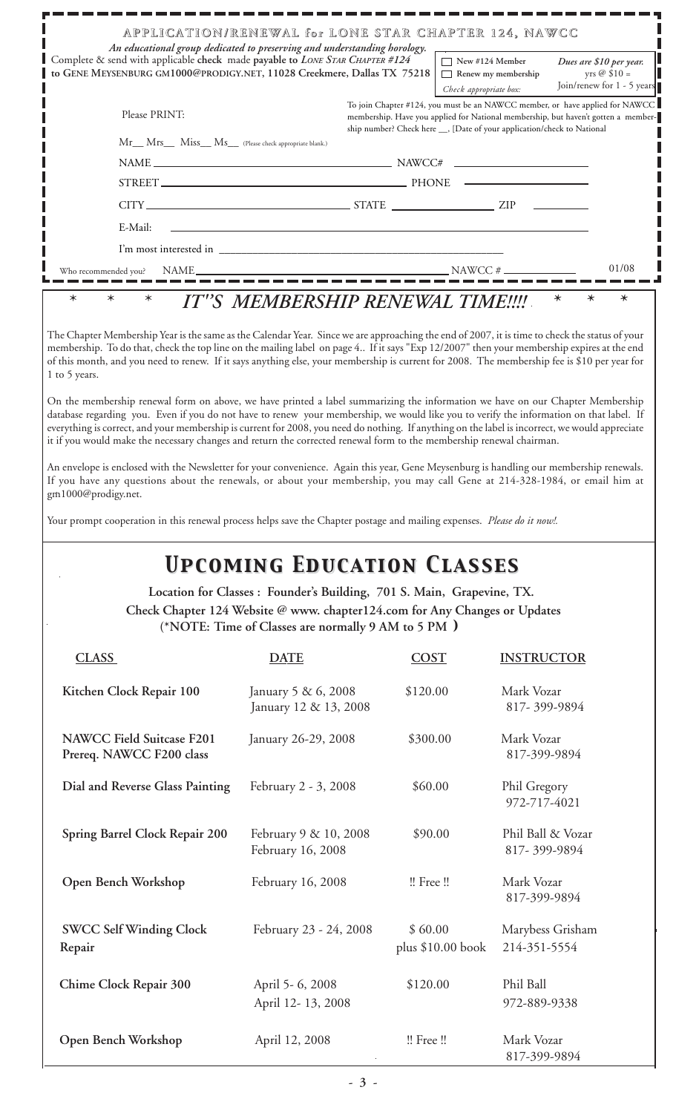|                                                                                                                                                                                                                                                                                                                                                                                                                                                                                                                                                                                                                                                                                                                                                                                                                                                                                                                                                                                                                                                                                                                                                                                                                                                                                                                                                                                                                                                  | APPLICATION/RENEWAL for LONE STAR CHAPTER 124, NAWCC                                                                                                                                                                                            |                                                                         |                                                                         |                                                                                                                                                                    |
|--------------------------------------------------------------------------------------------------------------------------------------------------------------------------------------------------------------------------------------------------------------------------------------------------------------------------------------------------------------------------------------------------------------------------------------------------------------------------------------------------------------------------------------------------------------------------------------------------------------------------------------------------------------------------------------------------------------------------------------------------------------------------------------------------------------------------------------------------------------------------------------------------------------------------------------------------------------------------------------------------------------------------------------------------------------------------------------------------------------------------------------------------------------------------------------------------------------------------------------------------------------------------------------------------------------------------------------------------------------------------------------------------------------------------------------------------|-------------------------------------------------------------------------------------------------------------------------------------------------------------------------------------------------------------------------------------------------|-------------------------------------------------------------------------|-------------------------------------------------------------------------|--------------------------------------------------------------------------------------------------------------------------------------------------------------------|
| Complete & send with applicable check made payable to LONE STAR CHAPTER #124<br>GENE MEYSENBURG GM1000@PRODIGY.NET, 11028 Creekmere, Dallas TX 75218                                                                                                                                                                                                                                                                                                                                                                                                                                                                                                                                                                                                                                                                                                                                                                                                                                                                                                                                                                                                                                                                                                                                                                                                                                                                                             | An educational group dedicated to preserving and understanding horology.                                                                                                                                                                        |                                                                         | $\Box$ New #124 Member<br>Renew my membership<br>Check appropriate box: | Dues are \$10 per year.<br>yrs $@$ \$10 =<br>Join/renew for 1 - 5 years                                                                                            |
| Please PRINT:                                                                                                                                                                                                                                                                                                                                                                                                                                                                                                                                                                                                                                                                                                                                                                                                                                                                                                                                                                                                                                                                                                                                                                                                                                                                                                                                                                                                                                    |                                                                                                                                                                                                                                                 |                                                                         |                                                                         | To join Chapter #124, you must be an NAWCC member, or have applied for NAWCC<br>membership. Have you applied for National membership, but haven't gotten a member- |
| Mr__ Mrs___ Miss__ Ms__ (Please check appropriate blank.)                                                                                                                                                                                                                                                                                                                                                                                                                                                                                                                                                                                                                                                                                                                                                                                                                                                                                                                                                                                                                                                                                                                                                                                                                                                                                                                                                                                        |                                                                                                                                                                                                                                                 | ship number? Check here __, [Date of your application/check to National |                                                                         |                                                                                                                                                                    |
|                                                                                                                                                                                                                                                                                                                                                                                                                                                                                                                                                                                                                                                                                                                                                                                                                                                                                                                                                                                                                                                                                                                                                                                                                                                                                                                                                                                                                                                  |                                                                                                                                                                                                                                                 |                                                                         |                                                                         |                                                                                                                                                                    |
|                                                                                                                                                                                                                                                                                                                                                                                                                                                                                                                                                                                                                                                                                                                                                                                                                                                                                                                                                                                                                                                                                                                                                                                                                                                                                                                                                                                                                                                  | STREET PHONE                                                                                                                                                                                                                                    |                                                                         |                                                                         |                                                                                                                                                                    |
|                                                                                                                                                                                                                                                                                                                                                                                                                                                                                                                                                                                                                                                                                                                                                                                                                                                                                                                                                                                                                                                                                                                                                                                                                                                                                                                                                                                                                                                  | $CITY$ $ZIP$ $ZIP$                                                                                                                                                                                                                              |                                                                         |                                                                         |                                                                                                                                                                    |
| E-Mail:                                                                                                                                                                                                                                                                                                                                                                                                                                                                                                                                                                                                                                                                                                                                                                                                                                                                                                                                                                                                                                                                                                                                                                                                                                                                                                                                                                                                                                          |                                                                                                                                                                                                                                                 |                                                                         |                                                                         |                                                                                                                                                                    |
|                                                                                                                                                                                                                                                                                                                                                                                                                                                                                                                                                                                                                                                                                                                                                                                                                                                                                                                                                                                                                                                                                                                                                                                                                                                                                                                                                                                                                                                  |                                                                                                                                                                                                                                                 |                                                                         |                                                                         |                                                                                                                                                                    |
|                                                                                                                                                                                                                                                                                                                                                                                                                                                                                                                                                                                                                                                                                                                                                                                                                                                                                                                                                                                                                                                                                                                                                                                                                                                                                                                                                                                                                                                  |                                                                                                                                                                                                                                                 |                                                                         |                                                                         | 01/08                                                                                                                                                              |
| Who recommended you?                                                                                                                                                                                                                                                                                                                                                                                                                                                                                                                                                                                                                                                                                                                                                                                                                                                                                                                                                                                                                                                                                                                                                                                                                                                                                                                                                                                                                             |                                                                                                                                                                                                                                                 |                                                                         |                                                                         |                                                                                                                                                                    |
| The Chapter Membership Year is the same as the Calendar Year. Since we are approaching the end of 2007, it is time to check the status of your<br>membership. To do that, check the top line on the mailing label on page 4 If it says "Exp 12/2007" then your membership expires at the end<br>of this month, and you need to renew. If it says anything else, your membership is current for 2008. The membership fee is \$10 per year for<br>1 to 5 years.<br>On the membership renewal form on above, we have printed a label summarizing the information we have on our Chapter Membership<br>database regarding you. Even if you do not have to renew your membership, we would like you to verify the information on that label. If<br>everything is correct, and your membership is current for 2008, you need do nothing. If anything on the label is incorrect, we would appreciate<br>it if you would make the necessary changes and return the corrected renewal form to the membership renewal chairman.<br>An envelope is enclosed with the Newsletter for your convenience. Again this year, Gene Meysenburg is handling our membership renewals.<br>If you have any questions about the renewals, or about your membership, you may call Gene at 214-328-1984, or email him at<br>gm1000@prodigy.net.<br>Your prompt cooperation in this renewal process helps save the Chapter postage and mailing expenses. Please do it now!. | <b>UPCOMING EDUCATION CLASSES</b><br>Location for Classes : Founder's Building, 701 S. Main, Grapevine, TX.<br>Check Chapter 124 Website @ www. chapter124.com for Any Changes or Updates<br>(*NOTE: Time of Classes are normally 9 AM to 5 PM) |                                                                         |                                                                         |                                                                                                                                                                    |
| <b>CLASS</b>                                                                                                                                                                                                                                                                                                                                                                                                                                                                                                                                                                                                                                                                                                                                                                                                                                                                                                                                                                                                                                                                                                                                                                                                                                                                                                                                                                                                                                     | <b>DATE</b>                                                                                                                                                                                                                                     | <b>COST</b>                                                             | <b>INSTRUCTOR</b>                                                       |                                                                                                                                                                    |
| Kitchen Clock Repair 100                                                                                                                                                                                                                                                                                                                                                                                                                                                                                                                                                                                                                                                                                                                                                                                                                                                                                                                                                                                                                                                                                                                                                                                                                                                                                                                                                                                                                         | January 5 & 6, 2008<br>January 12 & 13, 2008                                                                                                                                                                                                    | \$120.00                                                                | Mark Vozar<br>817-399-9894                                              |                                                                                                                                                                    |
| <b>NAWCC Field Suitcase F201</b><br>Prereq. NAWCC F200 class                                                                                                                                                                                                                                                                                                                                                                                                                                                                                                                                                                                                                                                                                                                                                                                                                                                                                                                                                                                                                                                                                                                                                                                                                                                                                                                                                                                     | January 26-29, 2008                                                                                                                                                                                                                             | \$300.00                                                                | Mark Vozar<br>817-399-9894                                              |                                                                                                                                                                    |
| Dial and Reverse Glass Painting                                                                                                                                                                                                                                                                                                                                                                                                                                                                                                                                                                                                                                                                                                                                                                                                                                                                                                                                                                                                                                                                                                                                                                                                                                                                                                                                                                                                                  | February 2 - 3, 2008                                                                                                                                                                                                                            | \$60.00                                                                 | Phil Gregory<br>972-717-4021                                            |                                                                                                                                                                    |
| Spring Barrel Clock Repair 200                                                                                                                                                                                                                                                                                                                                                                                                                                                                                                                                                                                                                                                                                                                                                                                                                                                                                                                                                                                                                                                                                                                                                                                                                                                                                                                                                                                                                   | February 9 & 10, 2008<br>February 16, 2008                                                                                                                                                                                                      | \$90.00                                                                 | 817-399-9894                                                            | Phil Ball & Vozar                                                                                                                                                  |
| Open Bench Workshop                                                                                                                                                                                                                                                                                                                                                                                                                                                                                                                                                                                                                                                                                                                                                                                                                                                                                                                                                                                                                                                                                                                                                                                                                                                                                                                                                                                                                              | February 16, 2008                                                                                                                                                                                                                               | !! Free !!                                                              | Mark Vozar<br>817-399-9894                                              |                                                                                                                                                                    |
| <b>SWCC Self Winding Clock</b><br>Repair                                                                                                                                                                                                                                                                                                                                                                                                                                                                                                                                                                                                                                                                                                                                                                                                                                                                                                                                                                                                                                                                                                                                                                                                                                                                                                                                                                                                         | February 23 - 24, 2008                                                                                                                                                                                                                          | \$60.00<br>plus $$10.00$ book                                           | 214-351-5554                                                            | Marybess Grisham                                                                                                                                                   |
| Chime Clock Repair 300                                                                                                                                                                                                                                                                                                                                                                                                                                                                                                                                                                                                                                                                                                                                                                                                                                                                                                                                                                                                                                                                                                                                                                                                                                                                                                                                                                                                                           | April 5-6, 2008<br>April 12-13, 2008                                                                                                                                                                                                            | \$120.00                                                                | Phil Ball<br>972-889-9338                                               |                                                                                                                                                                    |
| Open Bench Workshop                                                                                                                                                                                                                                                                                                                                                                                                                                                                                                                                                                                                                                                                                                                                                                                                                                                                                                                                                                                                                                                                                                                                                                                                                                                                                                                                                                                                                              | April 12, 2008                                                                                                                                                                                                                                  | !! Free !!                                                              | Mark Vozar<br>817-399-9894                                              |                                                                                                                                                                    |

7